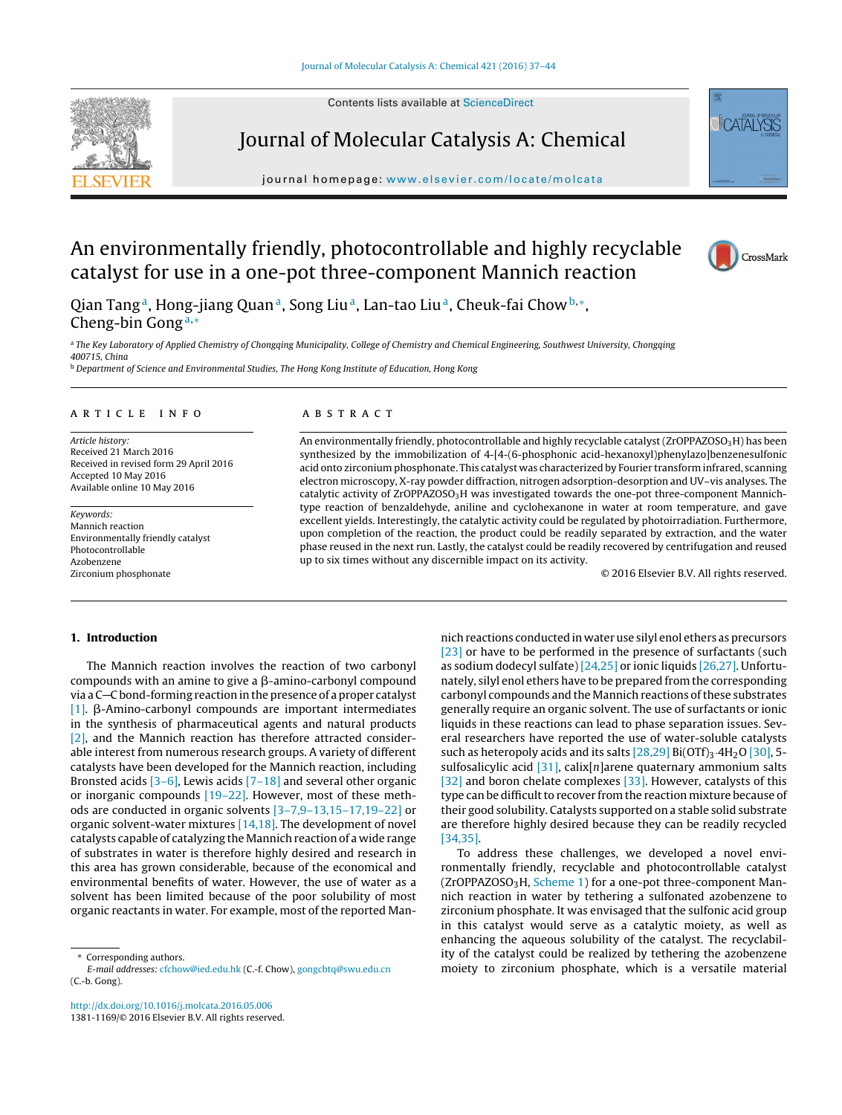Contents lists available at [ScienceDirect](http://www.sciencedirect.com/science/journal/13811169)



Journal of Molecular Catalysis A: Chemical

jour nal homepage: [www.elsevier.com/locate/molcata](http://www.elsevier.com/locate/molcata)



 $\Gamma$  $\Delta$ T $\Delta$ I

An environmentally friendly, photocontrollable and highly recyclable catalyst for use in a one-pot three-component Mannich reaction

Qian Tang<sup>a</sup>, Hong-jiang Quan<sup>a</sup>, Song Liu<sup>a</sup>, Lan-tao Liu<sup>a</sup>, Cheuk-fai Chow<sup>b,∗</sup>, Cheng-bin Gong<sup>a</sup>,<sup>∗</sup>

a The Key Laboratory of Applied Chemistry of Chongqing Municipality, College of Chemistry and Chemical Engineering, Southwest University, Chongqing 400715, China

<sup>b</sup> Department of Science and Environmental Studies, The Hong Kong Institute of Education, Hong Kong

#### ARTICLE INFO

Article history: Received 21 March 2016 Received in revised form 29 April 2016 Accepted 10 May 2016 Available online 10 May 2016

Keywords: Mannich reaction Environmentally friendly catalyst Photocontrollable Azobenzene Zirconium phosphonate

#### a b s t r a c t

An environmentally friendly, photocontrollable and highly recyclable catalyst (ZrOPPAZOSO $_3$ H) has been synthesized by the immobilization of 4-[4-(6-phosphonic acid-hexanoxyl)phenylazo]benzenesulfonic acid onto zirconium phosphonate. This catalyst was characterized by Fourier transform infrared, scanning electron microscopy, X-ray powder diffraction, nitrogen adsorption-desorption and UV–vis analyses. The catalytic activity of ZrOPPAZOSO<sub>3</sub>H was investigated towards the one-pot three-component Mannichtype reaction of benzaldehyde, aniline and cyclohexanone in water at room temperature, and gave excellent yields. Interestingly, the catalytic activity could be regulated by photoirradiation. Furthermore, upon completion of the reaction, the product could be readily separated by extraction, and the water phase reused in the next run. Lastly, the catalyst could be readily recovered by centrifugation and reused up to six times without any discernible impact on its activity.

© 2016 Elsevier B.V. All rights reserved.

# **1. Introduction**

The Mannich reaction involves the reaction of two carbonyl compounds with an amine to give a  $\beta$ -amino-carbonyl compound via a C-C bond-forming reaction in the presence of a proper catalyst [\[1\].](#page--1-0)  $\beta$ -Amino-carbonyl compounds are important intermediates in the synthesis of pharmaceutical agents and natural products [\[2\],](#page--1-0) and the Mannich reaction has therefore attracted considerable interest from numerous research groups. A variety of different catalysts have been developed for the Mannich reaction, including Bronsted acids [\[3–6\],](#page--1-0) Lewis acids [\[7–18\]](#page--1-0) and several other organic or inorganic compounds [\[19–22\].](#page--1-0) However, most of these methods are conducted in organic solvents [\[3–7,9–13,15–17,19–22\]](#page--1-0) or organic solvent-water mixtures [\[14,18\].](#page--1-0) The development of novel catalysts capable of catalyzing the Mannich reaction of a wide range of substrates in water is therefore highly desired and research in this area has grown considerable, because of the economical and environmental benefits of water. However, the use of water as a solvent has been limited because of the poor solubility of most organic reactants in water. For example, most of the reported Man-

[http://dx.doi.org/10.1016/j.molcata.2016.05.006](dx.doi.org/10.1016/j.molcata.2016.05.006) 1381-1169/© 2016 Elsevier B.V. All rights reserved.

nich reactions conducted in water use silyl enol ethers as precursors [\[23\]](#page--1-0) or have to be performed in the presence of surfactants (such as sodium dodecyl sulfate) [\[24,25\]](#page--1-0) or ionic liquids [\[26,27\].](#page--1-0) Unfortunately, silyl enol ethers have to be prepared from the corresponding carbonyl compounds and the Mannich reactions of these substrates generally require an organic solvent. The use of surfactants or ionic liquids in these reactions can lead to phase separation issues. Several researchers have reported the use of water-soluble catalysts such as heteropoly acids and its salts  $[28,29]$  Bi(OTf)<sub>3</sub>.4H<sub>2</sub>O [\[30\],](#page--1-0) 5sulfosalicylic acid  $[31]$ , calix $[n]$ arene quaternary ammonium salts [\[32\]](#page--1-0) and boron chelate complexes [\[33\].](#page--1-0) However, catalysts of this type can be difficult to recover from the reaction mixture because of their good solubility. Catalysts supported on a stable solid substrate are therefore highly desired because they can be readily recycled [\[34,35\].](#page--1-0)

To address these challenges, we developed a novel environmentally friendly, recyclable and photocontrollable catalyst  $ZrOPPAZOSO<sub>3</sub>H, Scheme 1)$  $ZrOPPAZOSO<sub>3</sub>H, Scheme 1)$  $ZrOPPAZOSO<sub>3</sub>H, Scheme 1)$  for a one-pot three-component Mannich reaction in water by tethering a sulfonated azobenzene to zirconium phosphate. It was envisaged that the sulfonic acid group in this catalyst would serve as a catalytic moiety, as well as enhancing the aqueous solubility of the catalyst. The recyclability of the catalyst could be realized by tethering the azobenzene moiety to zirconium phosphate, which is a versatile material

Corresponding authors.

E-mail addresses: [cfchow@ied.edu.hk](mailto:cfchow@ied.edu.hk) (C.-f. Chow), [gongcbtq@swu.edu.cn](mailto:gongcbtq@swu.edu.cn) (C.-b. Gong).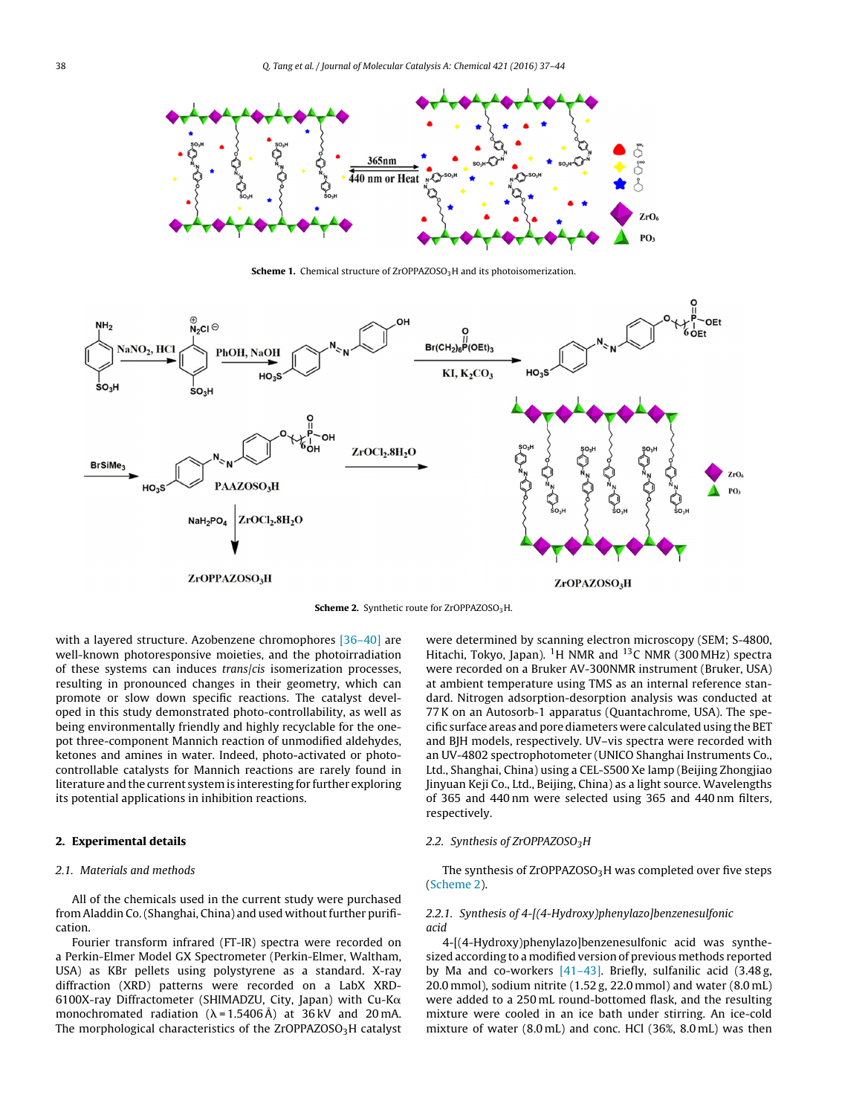<span id="page-1-0"></span>

**Scheme 1.** Chemical structure of ZrOPPAZOSO<sub>3</sub>H and its photoisomerization.



**Scheme 2.** Synthetic route for ZrOPPAZOSO<sub>3</sub>H.

with a layered structure. Azobenzene chromophores [\[36–40\]](#page--1-0) are well-known photoresponsive moieties, and the photoirradiation of these systems can induces trans/cis isomerization processes, resulting in pronounced changes in their geometry, which can promote or slow down specific reactions. The catalyst developed in this study demonstrated photo-controllability, as well as being environmentally friendly and highly recyclable for the onepot three-component Mannich reaction of unmodified aldehydes, ketones and amines in water. Indeed, photo-activated or photocontrollable catalysts for Mannich reactions are rarely found in literature and the current system is interesting for further exploring its potential applications in inhibition reactions.

### **2. Experimental details**

### 2.1. Materials and methods

All of the chemicals used in the current study were purchased from Aladdin Co. (Shanghai, China) and used without further purification.

Fourier transform infrared (FT-IR) spectra were recorded on a Perkin-Elmer Model GX Spectrometer (Perkin-Elmer, Waltham, USA) as KBr pellets using polystyrene as a standard. X-ray diffraction (XRD) patterns were recorded on a LabX XRD-6100X-ray Diffractometer (SHIMADZU, City, Japan) with Cu-K $\alpha$ monochromated radiation  $(\lambda = 1.5406 \text{ Å})$  at 36 kV and 20 mA. The morphological characteristics of the ZrOPPAZOSO<sub>3</sub>H catalyst

were determined by scanning electron microscopy (SEM; S-4800, Hitachi, Tokyo, Japan). <sup>1</sup>H NMR and <sup>13</sup>C NMR (300 MHz) spectra were recorded on a Bruker AV-300NMR instrument (Bruker, USA) at ambient temperature using TMS as an internal reference standard. Nitrogen adsorption-desorption analysis was conducted at 77K on an Autosorb-1 apparatus (Quantachrome, USA). The specific surface areas and pore diameters were calculated using the BET and BJH models, respectively. UV–vis spectra were recorded with an UV-4802 spectrophotometer (UNICO Shanghai Instruments Co., Ltd., Shanghai, China) using a CEL-S500 Xe lamp (Beijing Zhongjiao Jinyuan Keji Co., Ltd., Beijing, China) as a light source. Wavelengths of 365 and 440 nm were selected using 365 and 440 nm filters, respectively.

### 2.2. Synthesis of ZrOPPAZOSO<sub>3</sub>H

The synthesis of ZrOPPAZOSO<sub>3</sub>H was completed over five steps (Scheme 2).

## 2.2.1. Synthesis of 4-[(4-Hydroxy)phenylazo]benzenesulfonic acid

4-[(4-Hydroxy)phenylazo]benzenesulfonic acid was synthesized according to a modified version of previous methods reported by Ma and co-workers [\[41–43\].](#page--1-0) Briefly, sulfanilic acid (3.48 g, 20.0 mmol), sodium nitrite (1.52 g, 22.0 mmol) and water (8.0 mL) were added to a 250 mL round-bottomed flask, and the resulting mixture were cooled in an ice bath under stirring. An ice-cold mixture of water (8.0 mL) and conc. HCl (36%, 8.0 mL) was then